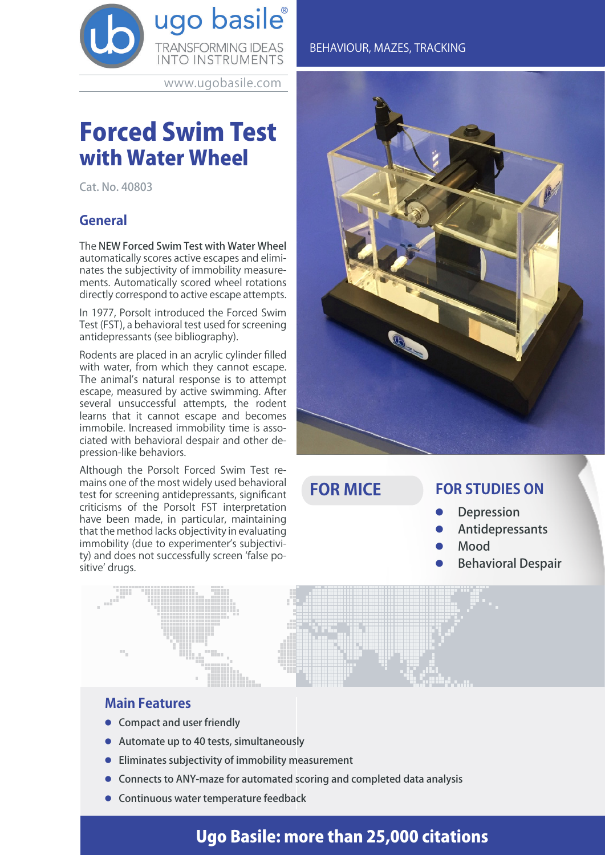

www.ugobasile.com

# Forced Swim Test with Water Wheel

Cat. No. 40803

# **General**

The NEW Forced Swim Test with Water Wheel automatically scores active escapes and eliminates the subjectivity of immobility measurements. Automatically scored wheel rotations directly correspond to active escape attempts.

In 1977, Porsolt introduced the Forced Swim Test (FST), a behavioral test used for screening antidepressants (see bibliography).

Rodents are placed in an acrylic cylinder filled with water, from which they cannot escape. The animal's natural response is to attempt escape, measured by active swimming. After several unsuccessful attempts, the rodent learns that it cannot escape and becomes immobile. Increased immobility time is associated with behavioral despair and other depression-like behaviors.

Although the Porsolt Forced Swim Test remains one of the most widely used behavioral test for screening antidepressants, significant criticisms of the Porsolt FST interpretation have been made, in particular, maintaining that the method lacks objectivity in evaluating immobility (due to experimenter's subjectivity) and does not successfully screen 'false positive' drugs.

### BEHAVIOUR, MAZES, TRACKING



**FOR MICE**

# **FOR STUDIES ON**

- **Depression**
- **Antidepressants**
- l Mood
- **Behavioral Despair**

| <b>Main Features</b> |
|----------------------|
|----------------------|

- **Compact and user friendly**
- $\bullet$  Automate up to 40 tests, simultaneously
- $\bullet$  Eliminates subjectivity of immobility measurement
- **Connects to ANY-maze for automated scoring and completed data analysis**
- $\bullet$  Continuous water temperature feedback

# Ugo Basile: more than 25,000 citations